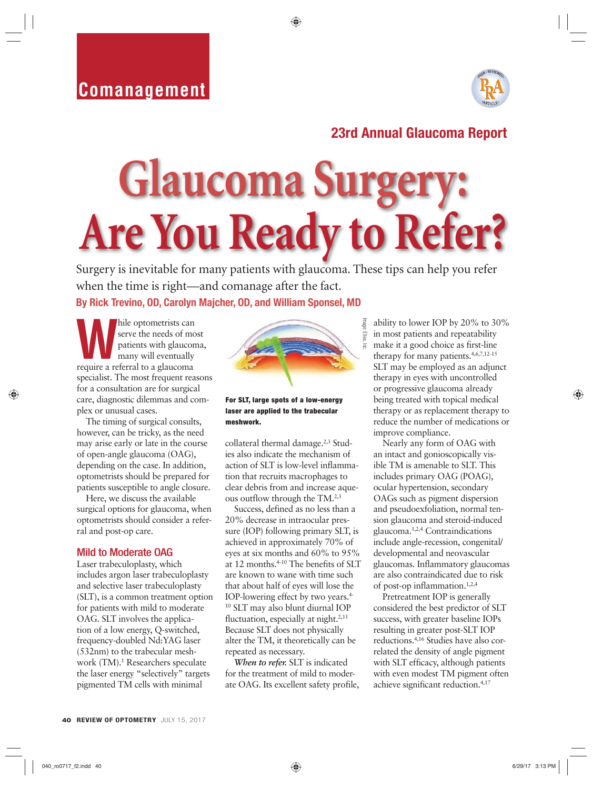## **Comanagement**



## **23rd Annual Glaucoma Report**

# **Glaucoma Surger Are You Ready to Refer?**

Surgery is inevitable for many patients with glaucoma. These tips can help you refer when the time is right—and comanage after the fact. **By Rick Trevino, OD, Carolyn Majcher, OD, and William Sponsel, MD**

**While optometrists can serve the needs of momentum**<br>patients with glaucom<br>many will eventually<br>require a referral to a glaucoma serve the needs of most patients with glaucoma, many will eventually specialist. The most frequent reasons for a consultation are for surgical care, diagnostic dilemmas and complex or unusual cases.

The timing of surgical consults, however, can be tricky, as the need may arise early or late in the course of open-angle glaucoma (OAG), depending on the case. In addition, optometrists should be prepared for patients susceptible to angle closure.

Here, we discuss the available surgical options for glaucoma, when optometrists should consider a referral and post-op care.

#### Mild to Moderate OAG

Laser trabeculoplasty, which includes argon laser trabeculoplasty and selective laser trabeculoplasty (SLT), is a common treatment option for patients with mild to moderate OAG. SLT involves the application of a low energy, Q-switched, frequency-doubled Nd:YAG laser (532nm) to the trabecular meshwork (TM).<sup>1</sup> Researchers speculate the laser energy "selectively" targets pigmented TM cells with minimal



#### **For SLT, large spots of a low-energy laser are applied to the trabecular meshwork.**

collateral thermal damage.<sup>2,3</sup> Studies also indicate the mechanism of action of SLT is low-level inflammation that recruits macrophages to clear debris from and increase aqueous outflow through the TM.2,3

Success, defined as no less than a 20% decrease in intraocular pressure (IOP) following primary SLT, is achieved in approximately 70% of eyes at six months and 60% to 95% at 12 months.4-10 The benefits of SLT are known to wane with time such that about half of eyes will lose the IOP-lowering effect by two years.4- 10 SLT may also blunt diurnal IOP fluctuation, especially at night. $2,11$ Because SLT does not physically alter the TM, it theoretically can be repeated as necessary.

*When to refer.* SLT is indicated for the treatment of mild to moderate OAG. Its excellent safety profile,

ability to lower IOP by 20% to 30% in most patients and repeatability make it a good choice as first-line therapy for many patients.<sup>4,6,7,12-15</sup> SLT may be employed as an adjunct therapy in eyes with uncontrolled or progressive glaucoma already being treated with topical medical therapy or as replacement therapy to reduce the number of medications or improve compliance.

Nearly any form of OAG with an intact and gonioscopically visible TM is amenable to SLT. This includes primary OAG (POAG), ocular hypertension, secondary OAGs such as pigment dispersion and pseudoexfoliation, normal tension glaucoma and steroid-induced glaucoma.1,2,4 Contraindications include angle-recession, congenital/ developmental and neovascular glaucomas. Inflammatory glaucomas are also contraindicated due to risk of post-op inflammation.1,2,4

Pretreatment IOP is generally considered the best predictor of SLT success, with greater baseline IOPs resulting in greater post-SLT IOP reductions.4,16 Studies have also correlated the density of angle pigment with SLT efficacy, although patients with even modest TM pigment often achieve significant reduction.4,17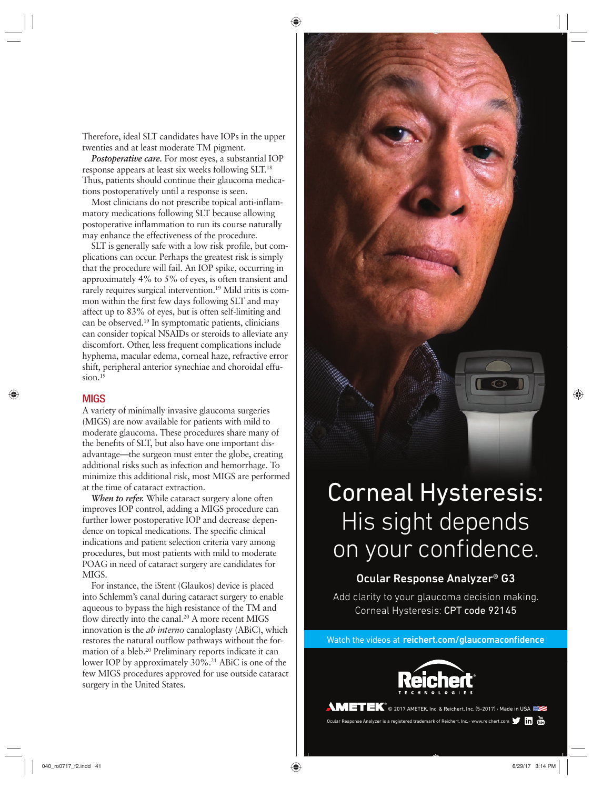Therefore, ideal SLT candidates have IOPs in the upper twenties and at least moderate TM pigment.

*Postoperative care.* For most eyes, a substantial IOP response appears at least six weeks following SLT.18 Thus, patients should continue their glaucoma medications postoperatively until a response is seen.

Most clinicians do not prescribe topical anti-inflammatory medications following SLT because allowing postoperative inflammation to run its course naturally may enhance the effectiveness of the procedure.

SLT is generally safe with a low risk profile, but complications can occur. Perhaps the greatest risk is simply that the procedure will fail. An IOP spike, occurring in approximately 4% to 5% of eyes, is often transient and rarely requires surgical intervention.<sup>19</sup> Mild iritis is common within the first few days following SLT and may affect up to 83% of eyes, but is often self-limiting and can be observed.19 In symptomatic patients, clinicians can consider topical NSAIDs or steroids to alleviate any discomfort. Other, less frequent complications include hyphema, macular edema, corneal haze, refractive error shift, peripheral anterior synechiae and choroidal effusion.<sup>19</sup>

#### **MIGS**

A variety of minimally invasive glaucoma surgeries (MIGS) are now available for patients with mild to moderate glaucoma. These procedures share many of the benefits of SLT, but also have one important disadvantage—the surgeon must enter the globe, creating additional risks such as infection and hemorrhage. To minimize this additional risk, most MIGS are performed at the time of cataract extraction.

*When to refer.* While cataract surgery alone often improves IOP control, adding a MIGS procedure can further lower postoperative IOP and decrease dependence on topical medications. The specific clinical indications and patient selection criteria vary among procedures, but most patients with mild to moderate POAG in need of cataract surgery are candidates for MIGS.

For instance, the iStent (Glaukos) device is placed into Schlemm's canal during cataract surgery to enable aqueous to bypass the high resistance of the TM and flow directly into the canal.<sup>20</sup> A more recent MIGS innovation is the *ab interno* canaloplasty (ABiC), which restores the natural outflow pathways without the formation of a bleb.20 Preliminary reports indicate it can lower IOP by approximately 30%.<sup>21</sup> ABiC is one of the few MIGS procedures approved for use outside cataract surgery in the United States.



## Corneal Hysteresis: His sight depends on your confidence.

### Ocular Response Analyzer® G3

Add clarity to your glaucoma decision making. Corneal Hysteresis: CPT code 92145

Watch the videos at reichert.com/glaucomaconfidence



**WETEK**<sup>®</sup> © 2017 AMETEK, Inc. & Reichert, Inc. (5-2017) · Made in USA

Ocular Response Analyzer is a registered trademark of Reichert, Inc. · www.reichert.com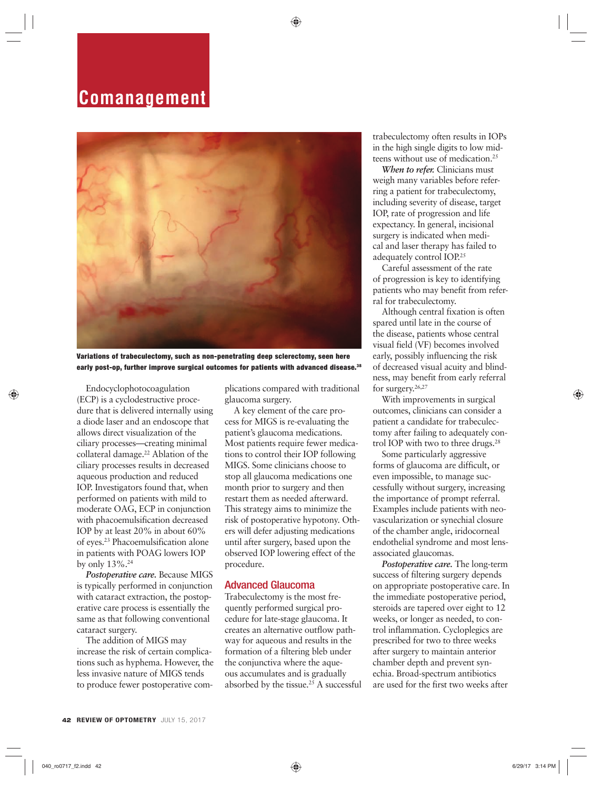## **Comanagement**



**Variations of trabeculectomy, such as non-penetrating deep sclerectomy, seen here early post-op, further improve surgical outcomes for patients with advanced disease.38**

Endocyclophotocoagulation (ECP) is a cyclodestructive procedure that is delivered internally using a diode laser and an endoscope that allows direct visualization of the ciliary processes—creating minimal collateral damage.<sup>22</sup> Ablation of the ciliary processes results in decreased aqueous production and reduced IOP. Investigators found that, when performed on patients with mild to moderate OAG, ECP in conjunction with phacoemulsification decreased IOP by at least 20% in about 60% of eyes.23 Phacoemulsification alone in patients with POAG lowers IOP by only 13%.24

*Postoperative care.* Because MIGS is typically performed in conjunction with cataract extraction, the postoperative care process is essentially the same as that following conventional cataract surgery.

The addition of MIGS may increase the risk of certain complications such as hyphema. However, the less invasive nature of MIGS tends to produce fewer postoperative complications compared with traditional glaucoma surgery.

A key element of the care process for MIGS is re-evaluating the patient's glaucoma medications. Most patients require fewer medications to control their IOP following MIGS. Some clinicians choose to stop all glaucoma medications one month prior to surgery and then restart them as needed afterward. This strategy aims to minimize the risk of postoperative hypotony. Others will defer adjusting medications until after surgery, based upon the observed IOP lowering effect of the procedure.

### Advanced Glaucoma

Trabeculectomy is the most frequently performed surgical procedure for late-stage glaucoma. It creates an alternative outflow pathway for aqueous and results in the formation of a filtering bleb under the conjunctiva where the aqueous accumulates and is gradually absorbed by the tissue.<sup>25</sup> A successful trabeculectomy often results in IOPs in the high single digits to low midteens without use of medication.25

*When to refer.* Clinicians must weigh many variables before referring a patient for trabeculectomy, including severity of disease, target IOP, rate of progression and life expectancy. In general, incisional surgery is indicated when medical and laser therapy has failed to adequately control IOP.<sup>25</sup>

Careful assessment of the rate of progression is key to identifying patients who may benefit from referral for trabeculectomy.

Although central fixation is often spared until late in the course of the disease, patients whose central visual field (VF) becomes involved early, possibly influencing the risk of decreased visual acuity and blindness, may benefit from early referral for surgery.<sup>26,27</sup>

With improvements in surgical outcomes, clinicians can consider a patient a candidate for trabeculectomy after failing to adequately control IOP with two to three drugs.<sup>28</sup>

Some particularly aggressive forms of glaucoma are difficult, or even impossible, to manage successfully without surgery, increasing the importance of prompt referral. Examples include patients with neovascularization or synechial closure of the chamber angle, iridocorneal endothelial syndrome and most lensassociated glaucomas.

*Postoperative care.* The long-term success of filtering surgery depends on appropriate postoperative care. In the immediate postoperative period, steroids are tapered over eight to 12 weeks, or longer as needed, to control inflammation. Cycloplegics are prescribed for two to three weeks after surgery to maintain anterior chamber depth and prevent synechia. Broad-spectrum antibiotics are used for the first two weeks after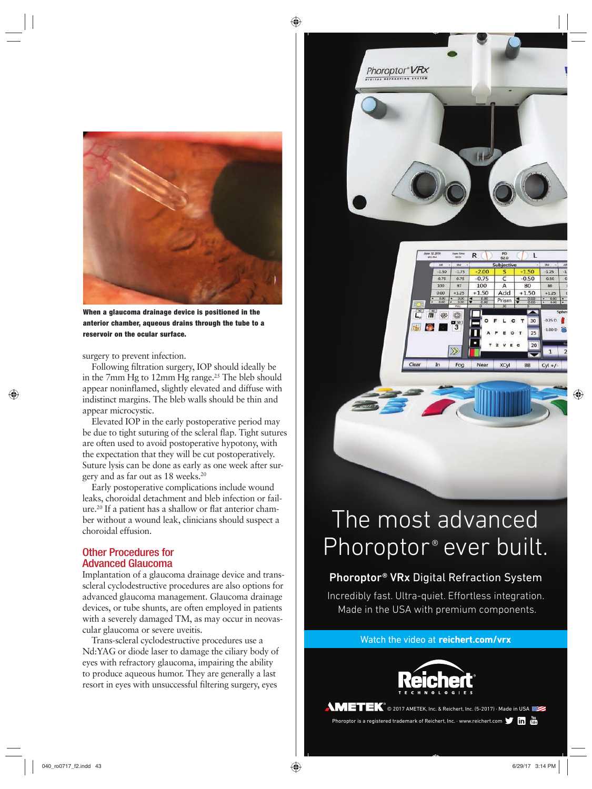

**When a glaucoma drainage device is positioned in the anterior chamber, aqueous drains through the tube to a reservoir on the ocular surface.**

surgery to prevent infection.

Following filtration surgery, IOP should ideally be in the 7mm Hg to 12mm Hg range.<sup>25</sup> The bleb should appear noninflamed, slightly elevated and diffuse with indistinct margins. The bleb walls should be thin and appear microcystic.

Elevated IOP in the early postoperative period may be due to tight suturing of the scleral flap. Tight sutures are often used to avoid postoperative hypotony, with the expectation that they will be cut postoperatively. Suture lysis can be done as early as one week after surgery and as far out as 18 weeks.20

Early postoperative complications include wound leaks, choroidal detachment and bleb infection or failure.20 If a patient has a shallow or flat anterior chamber without a wound leak, clinicians should suspect a choroidal effusion.

### Other Procedures for Advanced Glaucoma

Implantation of a glaucoma drainage device and transscleral cyclodestructive procedures are also options for advanced glaucoma management. Glaucoma drainage devices, or tube shunts, are often employed in patients with a severely damaged TM, as may occur in neovascular glaucoma or severe uveitis.

Trans-scleral cyclodestructive procedures use a Nd:YAG or diode laser to damage the ciliary body of eyes with refractory glaucoma, impairing the ability to produce aqueous humor. They are generally a last resort in eyes with unsuccessful filtering surgery, eyes





## The most advanced Phoroptor® ever built.

**Contract of the Contract of the Contract of the Contract of the Contract of the Contract of The Contract of th** 

### Phoroptor® VRx Digital Refraction System

Incredibly fast. Ultra-quiet. Effortless integration. Made in the USA with premium components.

Watch the video at **reichert.com/vrx**



**AMETEK**<sup>®</sup> © 2017 AMETEK, Inc. & Reichert, Inc. (5-2017) · Made in USA Phoroptor is a registered trademark of Reichert, Inc. · www.reichert.com  $\blacksquare$  in  $\blacksquare$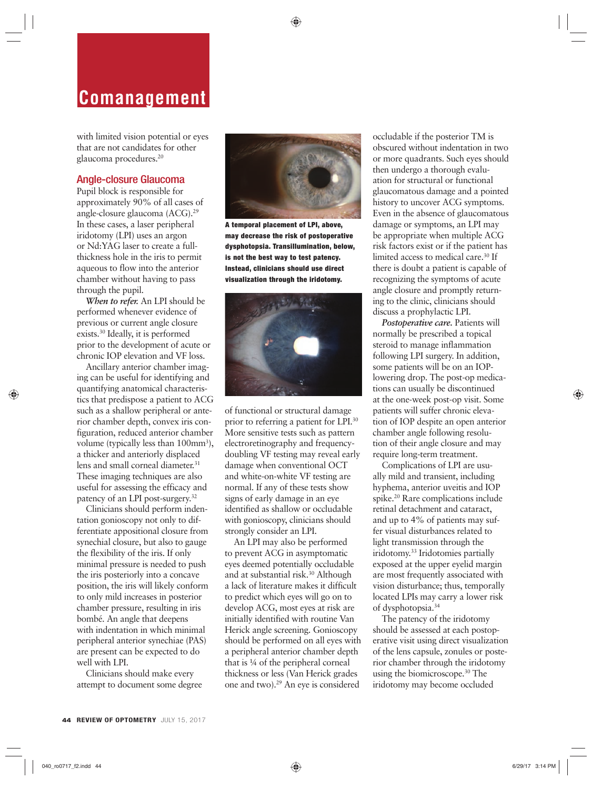## **Comanagement**

with limited vision potential or eyes that are not candidates for other glaucoma procedures.20

### Angle-closure Glaucoma

Pupil block is responsible for approximately 90% of all cases of angle-closure glaucoma (ACG).29 In these cases, a laser peripheral iridotomy (LPI) uses an argon or Nd:YAG laser to create a fullthickness hole in the iris to permit aqueous to flow into the anterior chamber without having to pass through the pupil.

*When to refer.* An LPI should be performed whenever evidence of previous or current angle closure exists.30 Ideally, it is performed prior to the development of acute or chronic IOP elevation and VF loss.

Ancillary anterior chamber imaging can be useful for identifying and quantifying anatomical characteristics that predispose a patient to ACG such as a shallow peripheral or anterior chamber depth, convex iris configuration, reduced anterior chamber volume (typically less than 100mm<sup>3</sup>), a thicker and anteriorly displaced lens and small corneal diameter.<sup>31</sup> These imaging techniques are also useful for assessing the efficacy and patency of an LPI post-surgery.32

Clinicians should perform indentation gonioscopy not only to differentiate appositional closure from synechial closure, but also to gauge the flexibility of the iris. If only minimal pressure is needed to push the iris posteriorly into a concave position, the iris will likely conform to only mild increases in posterior chamber pressure, resulting in iris bombé. An angle that deepens with indentation in which minimal peripheral anterior synechiae (PAS) are present can be expected to do well with LPI.

Clinicians should make every attempt to document some degree



**A temporal placement of LPI, above, may decrease the risk of postoperative dysphotopsia. Transillumination, below, is not the best way to test patency. Instead, clinicians should use direct visualization through the iridotomy.**



of functional or structural damage prior to referring a patient for LPI.30 More sensitive tests such as pattern electroretinography and frequencydoubling VF testing may reveal early damage when conventional OCT and white-on-white VF testing are normal. If any of these tests show signs of early damage in an eye identified as shallow or occludable with gonioscopy, clinicians should strongly consider an LPI.

An LPI may also be performed to prevent ACG in asymptomatic eyes deemed potentially occludable and at substantial risk.<sup>30</sup> Although a lack of literature makes it difficult to predict which eyes will go on to develop ACG, most eyes at risk are initially identified with routine Van Herick angle screening. Gonioscopy should be performed on all eyes with a peripheral anterior chamber depth that is ¼ of the peripheral corneal thickness or less (Van Herick grades one and two).29 An eye is considered

occludable if the posterior TM is obscured without indentation in two or more quadrants. Such eyes should then undergo a thorough evaluation for structural or functional glaucomatous damage and a pointed history to uncover ACG symptoms. Even in the absence of glaucomatous damage or symptoms, an LPI may be appropriate when multiple ACG risk factors exist or if the patient has limited access to medical care.<sup>30</sup> If there is doubt a patient is capable of recognizing the symptoms of acute angle closure and promptly returning to the clinic, clinicians should discuss a prophylactic LPI.

*Postoperative care.* Patients will normally be prescribed a topical steroid to manage inflammation following LPI surgery. In addition, some patients will be on an IOPlowering drop. The post-op medications can usually be discontinued at the one-week post-op visit. Some patients will suffer chronic elevation of IOP despite an open anterior chamber angle following resolution of their angle closure and may require long-term treatment.

Complications of LPI are usually mild and transient, including hyphema, anterior uveitis and IOP spike.20 Rare complications include retinal detachment and cataract, and up to 4% of patients may suffer visual disturbances related to light transmission through the iridotomy.33 Iridotomies partially exposed at the upper eyelid margin are most frequently associated with vision disturbance; thus, temporally located LPIs may carry a lower risk of dysphotopsia.34

The patency of the iridotomy should be assessed at each postoperative visit using direct visualization of the lens capsule, zonules or posterior chamber through the iridotomy using the biomicroscope.30 The iridotomy may become occluded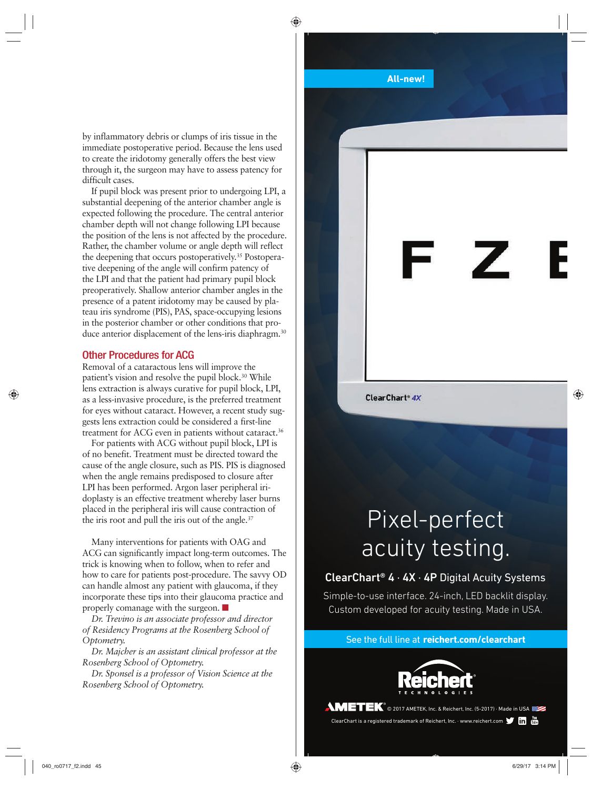by inflammatory debris or clumps of iris tissue in the immediate postoperative period. Because the lens used to create the iridotomy generally offers the best view through it, the surgeon may have to assess patency for difficult cases.

If pupil block was present prior to undergoing LPI, a substantial deepening of the anterior chamber angle is expected following the procedure. The central anterior chamber depth will not change following LPI because the position of the lens is not affected by the procedure. Rather, the chamber volume or angle depth will reflect the deepening that occurs postoperatively.<sup>35</sup> Postoperative deepening of the angle will confirm patency of the LPI and that the patient had primary pupil block preoperatively. Shallow anterior chamber angles in the presence of a patent iridotomy may be caused by plateau iris syndrome (PIS), PAS, space-occupying lesions in the posterior chamber or other conditions that produce anterior displacement of the lens-iris diaphragm.<sup>30</sup>

#### Other Procedures for ACG

Removal of a cataractous lens will improve the patient's vision and resolve the pupil block.30 While lens extraction is always curative for pupil block, LPI, as a less-invasive procedure, is the preferred treatment for eyes without cataract. However, a recent study suggests lens extraction could be considered a first-line treatment for ACG even in patients without cataract.<sup>36</sup>

For patients with ACG without pupil block, LPI is of no benefit. Treatment must be directed toward the cause of the angle closure, such as PIS. PIS is diagnosed when the angle remains predisposed to closure after LPI has been performed. Argon laser peripheral iridoplasty is an effective treatment whereby laser burns placed in the peripheral iris will cause contraction of the iris root and pull the iris out of the angle.<sup>37</sup>

Many interventions for patients with OAG and ACG can significantly impact long-term outcomes. The trick is knowing when to follow, when to refer and how to care for patients post-procedure. The savvy OD can handle almost any patient with glaucoma, if they incorporate these tips into their glaucoma practice and properly comanage with the surgeon. ■

*Dr. Trevino is an associate professor and director of Residency Programs at the Rosenberg School of Optometry.*

*Dr. Majcher is an assistant clinical professor at the Rosenberg School of Optometry.*

*Dr. Sponsel is a professor of Vision Science at the Rosenberg School of Optometry.*

#### **All-new!**

ClearChart<sup>®</sup> 4X

## Pixel-perfect acuity testing.

## ClearChart® 4 · 4X · 4P Digital Acuity Systems

Simple-to-use interface. 24-inch, LED backlit display. Custom developed for acuity testing. Made in USA.

See the full line at **reichert.com/clearchart**



**AMETEK**<sup>®</sup> © 2017 AMETEK, Inc. & Reichert, Inc. (5-2017) · Made in USA ClearChart is a registered trademark of Reichert, Inc. · www.reichert.com **The Trans**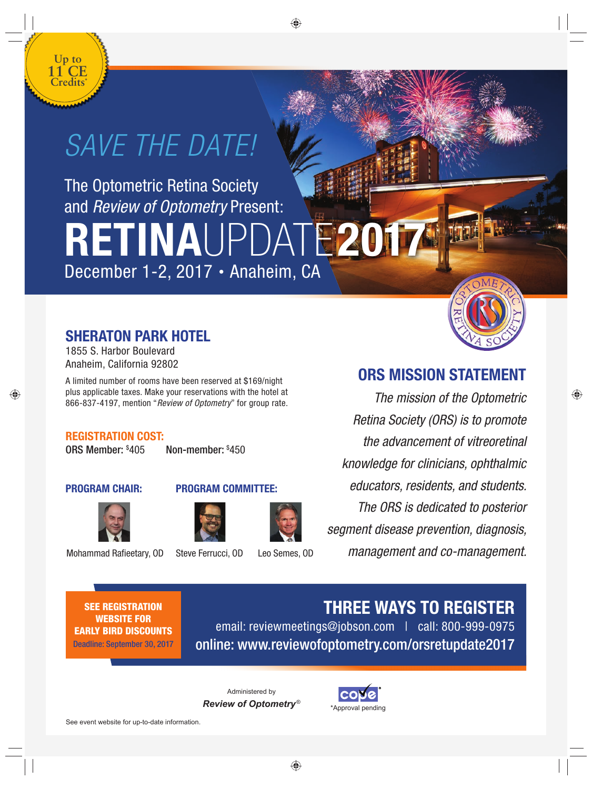

## *SAVE THE DATE!*

The Optometric Retina Society and *Review of Optometry* Present:

**2017 RETINAUP** December 1-2, 2017 • Anaheim, CA

## **SHERATON PARK HOTEL**

1855 S. Harbor Boulevard Anaheim, California 92802

A limited number of rooms have been reserved at \$169/night plus applicable taxes. Make your reservations with the hotel at 866-837-4197, mention "*Review of Optometry*" for group rate.

## **REGISTRATION COST:**

ORS Member: \$ 405 Non-member: \$ 450







Mohammad Rafieetary, OD Steve Ferrucci, OD Leo Semes, OD



## **ORS MISSION STATEMENT**

*The mission of the Optometric Retina Society (ORS) is to promote the advancement of vitreoretinal knowledge for clinicians, ophthalmic educators, residents, and students. The ORS is dedicated to posterior segment disease prevention, diagnosis, management and co-management.*

**SEE REGISTRATION WEBSITE FOR EARLY BIRD DISCOUNTS**

Deadline: September 30, 2017

**THREE WAYS TO REGISTER**

email: reviewmeetings@jobson.com | call: 800-999-0975 online: www.reviewofoptometry.com/orsretupdate2017

Administered by *Review of Optometry* ®